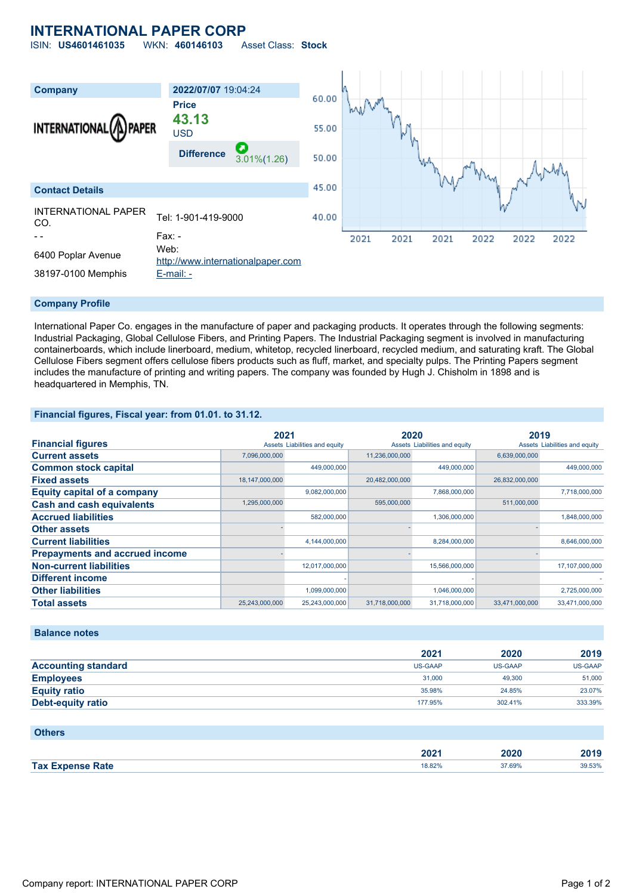# **INTERNATIONAL PAPER CORP**

ISIN: **US4601461035** WKN: **460146103** Asset Class: **Stock**



#### **Company Profile**

International Paper Co. engages in the manufacture of paper and packaging products. It operates through the following segments: Industrial Packaging, Global Cellulose Fibers, and Printing Papers. The Industrial Packaging segment is involved in manufacturing containerboards, which include linerboard, medium, whitetop, recycled linerboard, recycled medium, and saturating kraft. The Global Cellulose Fibers segment offers cellulose fibers products such as fluff, market, and specialty pulps. The Printing Papers segment includes the manufacture of printing and writing papers. The company was founded by Hugh J. Chisholm in 1898 and is headquartered in Memphis, TN.

### **Financial figures, Fiscal year: from 01.01. to 31.12.**

|                                       | 2021           |                               | 2020           |                               | 2019           |                               |
|---------------------------------------|----------------|-------------------------------|----------------|-------------------------------|----------------|-------------------------------|
| <b>Financial figures</b>              |                | Assets Liabilities and equity |                | Assets Liabilities and equity |                | Assets Liabilities and equity |
| <b>Current assets</b>                 | 7,096,000,000  |                               | 11,236,000,000 |                               | 6.639.000.000  |                               |
| <b>Common stock capital</b>           |                | 449.000.000                   |                | 449,000,000                   |                | 449.000.000                   |
| <b>Fixed assets</b>                   | 18,147,000,000 |                               | 20,482,000,000 |                               | 26,832,000,000 |                               |
| <b>Equity capital of a company</b>    |                | 9,082,000,000                 |                | 7,868,000,000                 |                | 7,718,000,000                 |
| <b>Cash and cash equivalents</b>      | 1,295,000,000  |                               | 595,000,000    |                               | 511,000,000    |                               |
| <b>Accrued liabilities</b>            |                | 582,000,000                   |                | 1,306,000,000                 |                | 1,848,000,000                 |
| <b>Other assets</b>                   |                |                               |                |                               |                |                               |
| <b>Current liabilities</b>            |                | 4,144,000,000                 |                | 8,284,000,000                 |                | 8,646,000,000                 |
| <b>Prepayments and accrued income</b> |                |                               |                |                               |                |                               |
| <b>Non-current liabilities</b>        |                | 12,017,000,000                |                | 15,566,000,000                |                | 17,107,000,000                |
| <b>Different income</b>               |                |                               |                |                               |                |                               |
| <b>Other liabilities</b>              |                | 1,099,000,000                 |                | 1,046,000,000                 |                | 2,725,000,000                 |
| <b>Total assets</b>                   | 25,243,000,000 | 25,243,000,000                | 31,718,000,000 | 31,718,000,000                | 33,471,000,000 | 33,471,000,000                |

#### **Balance notes**

|                            | 2021           | 2020           | 2019           |
|----------------------------|----------------|----------------|----------------|
| <b>Accounting standard</b> | <b>US-GAAP</b> | <b>US-GAAP</b> | <b>US-GAAP</b> |
| <b>Employees</b>           | 31,000         | 49,300         | 51,000         |
| <b>Equity ratio</b>        | 35.98%         | 24.85%         | 23.07%         |
| Debt-equity ratio          | 177.95%        | 302.41%        | 333.39%        |

#### **Others**

|                         | ירחר<br>ZUZT.<br>______ | 2020   | 2010<br>20 I J |
|-------------------------|-------------------------|--------|----------------|
| <b>Tax Expense Rate</b> | 8.82%                   | 37.69% | 39.53%         |